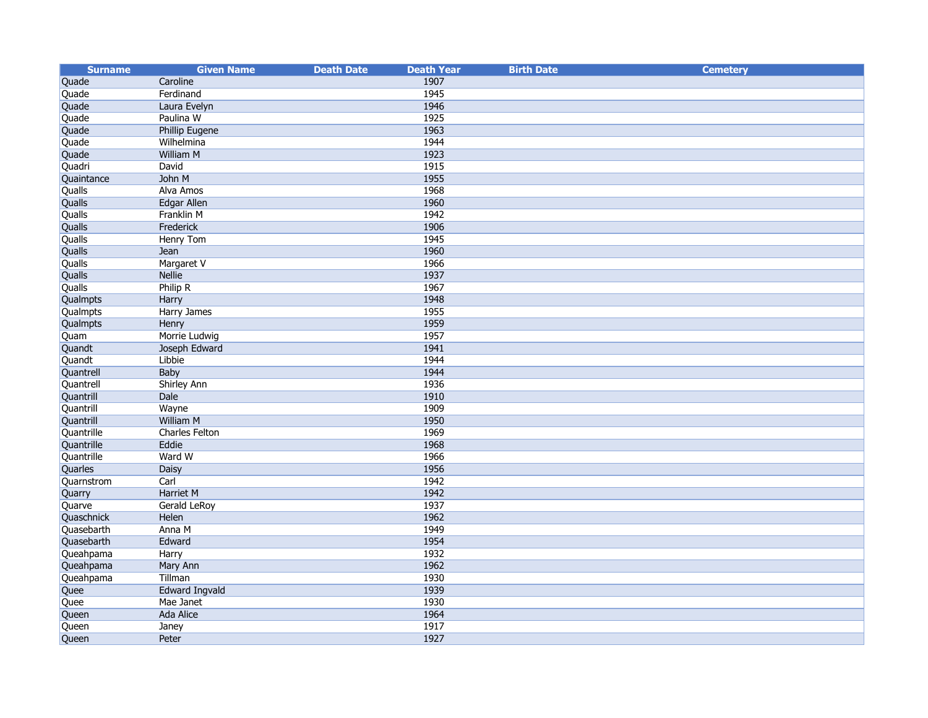| <b>Surname</b> | <b>Given Name</b>     | <b>Death Date</b> | <b>Death Year</b> | <b>Birth Date</b> | <b>Cemetery</b> |
|----------------|-----------------------|-------------------|-------------------|-------------------|-----------------|
| Quade          | Caroline              |                   | 1907              |                   |                 |
| Quade          | Ferdinand             |                   | 1945              |                   |                 |
| Quade          | Laura Evelyn          |                   | 1946              |                   |                 |
| Quade          | Paulina W             |                   | 1925              |                   |                 |
| Quade          | Phillip Eugene        |                   | 1963              |                   |                 |
| Quade          | Wilhelmina            |                   | 1944              |                   |                 |
| Quade          | William M             |                   | 1923              |                   |                 |
| Quadri         | David                 |                   | 1915              |                   |                 |
| Quaintance     | John M                |                   | 1955              |                   |                 |
| Qualls         | Alva Amos             |                   | 1968              |                   |                 |
| Qualls         | <b>Edgar Allen</b>    |                   | 1960              |                   |                 |
| Qualls         | Franklin M            |                   | 1942              |                   |                 |
| Qualls         | Frederick             |                   | 1906              |                   |                 |
| Qualls         | <b>Henry Tom</b>      |                   | 1945              |                   |                 |
| Qualls         | Jean                  |                   | 1960              |                   |                 |
| Qualls         | Margaret V            |                   | 1966              |                   |                 |
| Qualls         | <b>Nellie</b>         |                   | 1937              |                   |                 |
| Qualls         | Philip R              |                   | 1967              |                   |                 |
| Qualmpts       | Harry                 |                   | 1948              |                   |                 |
| Qualmpts       | <b>Harry James</b>    |                   | 1955              |                   |                 |
| Qualmpts       | Henry                 |                   | 1959              |                   |                 |
| Quam           | Morrie Ludwig         |                   | 1957              |                   |                 |
| Quandt         | Joseph Edward         |                   | 1941              |                   |                 |
| Quandt         | Libbie                |                   | 1944              |                   |                 |
| Quantrell      | Baby                  |                   | 1944              |                   |                 |
| Quantrell      | <b>Shirley Ann</b>    |                   | 1936              |                   |                 |
| Quantrill      | Dale                  |                   | 1910              |                   |                 |
| Quantrill      | Wayne                 |                   | 1909              |                   |                 |
| Quantrill      | <b>William M</b>      |                   | 1950              |                   |                 |
| Quantrille     | Charles Felton        |                   | 1969              |                   |                 |
| Quantrille     | Eddie                 |                   | 1968              |                   |                 |
| Quantrille     | Ward W                |                   | 1966              |                   |                 |
| Quarles        | <b>Daisy</b>          |                   | 1956              |                   |                 |
| Quarnstrom     | Carl                  |                   | 1942              |                   |                 |
| Quarry         | <b>Harriet M</b>      |                   | 1942              |                   |                 |
| Quarve         | Gerald LeRoy          |                   | 1937              |                   |                 |
| Quaschnick     | Helen                 |                   | 1962              |                   |                 |
| Quasebarth     | Anna M                |                   | 1949              |                   |                 |
| Quasebarth     | Edward                |                   | 1954              |                   |                 |
| Queahpama      | Harry                 |                   | 1932              |                   |                 |
| Queahpama      | Mary Ann              |                   | 1962              |                   |                 |
| Queahpama      | Tillman               |                   | 1930              |                   |                 |
| Quee           | <b>Edward Ingvald</b> |                   | 1939              |                   |                 |
| Quee           | Mae Janet             |                   | 1930              |                   |                 |
| Queen          | <b>Ada Alice</b>      |                   | 1964              |                   |                 |
| Queen          | Janey                 |                   | 1917              |                   |                 |
| <b>Queen</b>   | Peter                 |                   | 1927              |                   |                 |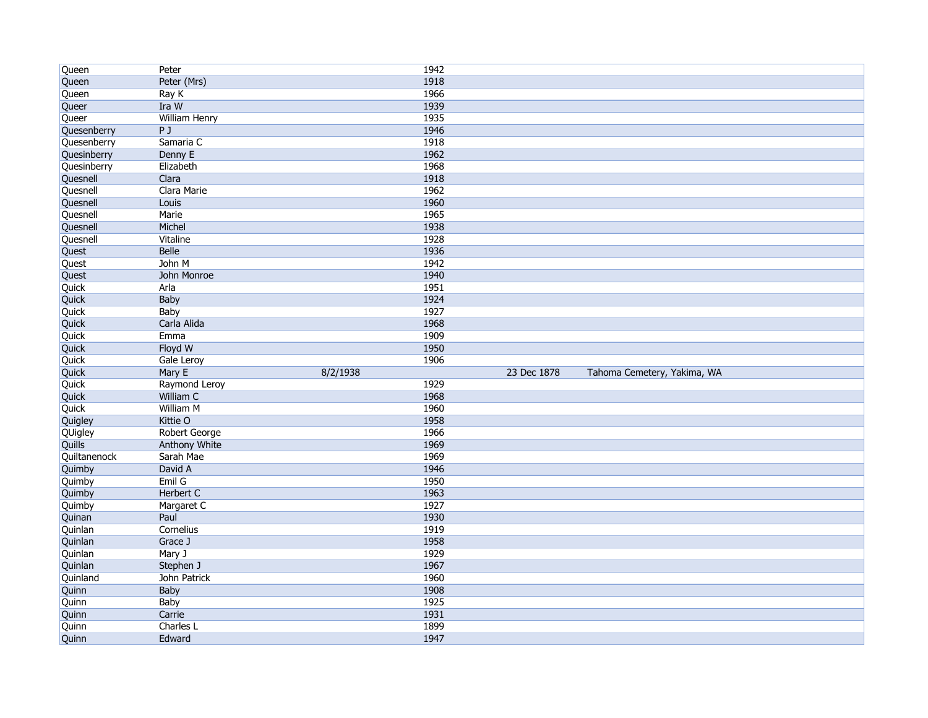| Queen                  | Peter                   | 1942         |             |                             |  |
|------------------------|-------------------------|--------------|-------------|-----------------------------|--|
| Queen                  | Peter (Mrs)             | 1918         |             |                             |  |
| Queen                  | Ray K                   | 1966         |             |                             |  |
| Queer                  | Ira W                   | 1939         |             |                             |  |
| Queer                  | <b>William Henry</b>    | 1935         |             |                             |  |
| Quesenberry            | PJ                      | 1946         |             |                             |  |
| Quesenberry            | Samaria C               | 1918         |             |                             |  |
| Quesinberry            | Denny E                 | 1962         |             |                             |  |
| Quesinberry            | Elizabeth               | 1968         |             |                             |  |
| Quesnell               | Clara                   | 1918         |             |                             |  |
| Quesnell               | Clara Marie             | 1962         |             |                             |  |
| Quesnell               | Louis                   | 1960         |             |                             |  |
| Quesnell               | Marie                   | 1965         |             |                             |  |
| Quesnell               | Michel                  | 1938         |             |                             |  |
| Quesnell               | Vitaline                | 1928         |             |                             |  |
| Quest                  | <b>Belle</b>            | 1936         |             |                             |  |
| Quest                  | John M                  | 1942         |             |                             |  |
| Quest                  | John Monroe             | 1940         |             |                             |  |
| Quick                  | Arla                    | 1951         |             |                             |  |
| Quick                  | Baby                    | 1924         |             |                             |  |
| Quick                  | Baby                    | 1927         |             |                             |  |
| Quick                  | Carla Alida             | 1968         |             |                             |  |
| Quick                  | Emma                    | 1909         |             |                             |  |
| Quick                  | Floyd W                 | 1950         |             |                             |  |
|                        |                         |              |             |                             |  |
|                        | Gale Leroy              | 1906         |             |                             |  |
| Quick                  |                         | 8/2/1938     | 23 Dec 1878 |                             |  |
| Quick                  | Mary E<br>Raymond Leroy | 1929         |             | Tahoma Cemetery, Yakima, WA |  |
| Quick                  | William C               | 1968         |             |                             |  |
| Quick<br>Quick         | <b>William M</b>        | 1960         |             |                             |  |
|                        | Kittie O                | 1958         |             |                             |  |
| Quigley                | <b>Robert George</b>    | 1966         |             |                             |  |
| QUigley                | <b>Anthony White</b>    | 1969         |             |                             |  |
| Quills<br>Quiltanenock | Sarah Mae               | 1969         |             |                             |  |
| Quimby                 | David A                 | 1946         |             |                             |  |
| Quimby                 | Emil G                  | 1950         |             |                             |  |
| Quimby                 | Herbert C               | 1963         |             |                             |  |
| Quimby                 | Margaret C              | 1927         |             |                             |  |
| Quinan                 | Paul                    | 1930         |             |                             |  |
| Quinlan                | Cornelius               | 1919         |             |                             |  |
| Quinlan                | Grace J                 | 1958         |             |                             |  |
|                        | Mary J                  | 1929         |             |                             |  |
| Quinlan<br>Quinlan     | Stephen J               | 1967         |             |                             |  |
| Quinland               | John Patrick            | 1960         |             |                             |  |
| Quinn                  | Baby                    | 1908         |             |                             |  |
| Quinn                  | Baby                    | 1925         |             |                             |  |
| Quinn                  | Carrie                  | 1931         |             |                             |  |
| Quinn                  | Charles L<br>Edward     | 1899<br>1947 |             |                             |  |